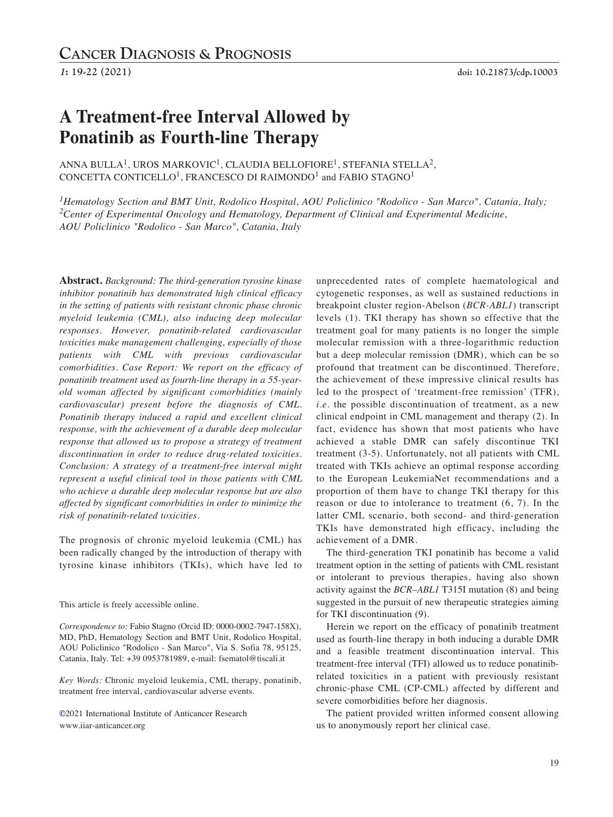# **A Treatment-free Interval Allowed by Ponatinib as Fourth-line Therapy**

ANNA BULLA<sup>1</sup>, UROS MARKOVIC<sup>1</sup>, CLAUDIA BELLOFIORE<sup>1</sup>, STEFANIA STELLA<sup>2</sup>. CONCETTA CONTICELLO<sup>1</sup>, FRANCESCO DI RAIMONDO<sup>1</sup> and FABIO STAGNO<sup>1</sup>

*1Hematology Section and BMT Unit, Rodolico Hospital, AOU Policlinico "Rodolico - San Marco", Catania, Italy; 2Center of Experimental Oncology and Hematology, Department of Clinical and Experimental Medicine, AOU Policlinico "Rodolico - San Marco", Catania, Italy*

**Abstract.** *Background: The third-generation tyrosine kinase inhibitor ponatinib has demonstrated high clinical efficacy in the setting of patients with resistant chronic phase chronic myeloid leukemia (CML), also inducing deep molecular responses. However, ponatinib-related cardiovascular toxicities make management challenging, especially of those patients with CML with previous cardiovascular comorbidities. Case Report: We report on the efficacy of ponatinib treatment used as fourth-line therapy in a 55-yearold woman affected by significant comorbidities (mainly cardiovascular) present before the diagnosis of CML. Ponatinib therapy induced a rapid and excellent clinical response, with the achievement of a durable deep molecular response that allowed us to propose a strategy of treatment discontinuation in order to reduce drug-related toxicities. Conclusion: A strategy of a treatment-free interval might represent a useful clinical tool in those patients with CML who achieve a durable deep molecular response but are also affected by significant comorbidities in order to minimize the risk of ponatinib-related toxicities.*

The prognosis of chronic myeloid leukemia (CML) has been radically changed by the introduction of therapy with tyrosine kinase inhibitors (TKIs), which have led to

This article is freely accessible online.

*Correspondence to:* Fabio Stagno (Orcid ID: 0000-0002-7947-158X), MD, PhD, Hematology Section and BMT Unit, Rodolico Hospital, AOU Policlinico "Rodolico - San Marco", Via S. Sofia 78, 95125, Catania, Italy. Tel: +39 0953781989, e-mail: fsematol@tiscali.it

*Key Words:* Chronic myeloid leukemia, CML therapy, ponatinib, treatment free interval, cardiovascular adverse events.

**©**2021 International Institute of Anticancer Research www.iiar-anticancer.org

unprecedented rates of complete haematological and cytogenetic responses, as well as sustained reductions in breakpoint cluster region-Abelson (*BCR-ABL1*) transcript levels (1). TKI therapy has shown so effective that the treatment goal for many patients is no longer the simple molecular remission with a three-logarithmic reduction but a deep molecular remission (DMR), which can be so profound that treatment can be discontinued. Therefore, the achievement of these impressive clinical results has led to the prospect of 'treatment-free remission' (TFR), *i.e.* the possible discontinuation of treatment, as a new clinical endpoint in CML management and therapy (2). In fact, evidence has shown that most patients who have achieved a stable DMR can safely discontinue TKI treatment (3-5). Unfortunately, not all patients with CML treated with TKIs achieve an optimal response according to the European LeukemiaNet recommendations and a proportion of them have to change TKI therapy for this reason or due to intolerance to treatment (6, 7). In the latter CML scenario, both second- and third-generation TKIs have demonstrated high efficacy, including the achievement of a DMR.

The third-generation TKI ponatinib has become a valid treatment option in the setting of patients with CML resistant or intolerant to previous therapies, having also shown activity against the *BCR–ABL1* T315I mutation (8) and being suggested in the pursuit of new therapeutic strategies aiming for TKI discontinuation (9).

Herein we report on the efficacy of ponatinib treatment used as fourth-line therapy in both inducing a durable DMR and a feasible treatment discontinuation interval. This treatment-free interval (TFI) allowed us to reduce ponatinibrelated toxicities in a patient with previously resistant chronic-phase CML (CP-CML) affected by different and severe comorbidities before her diagnosis.

The patient provided written informed consent allowing us to anonymously report her clinical case.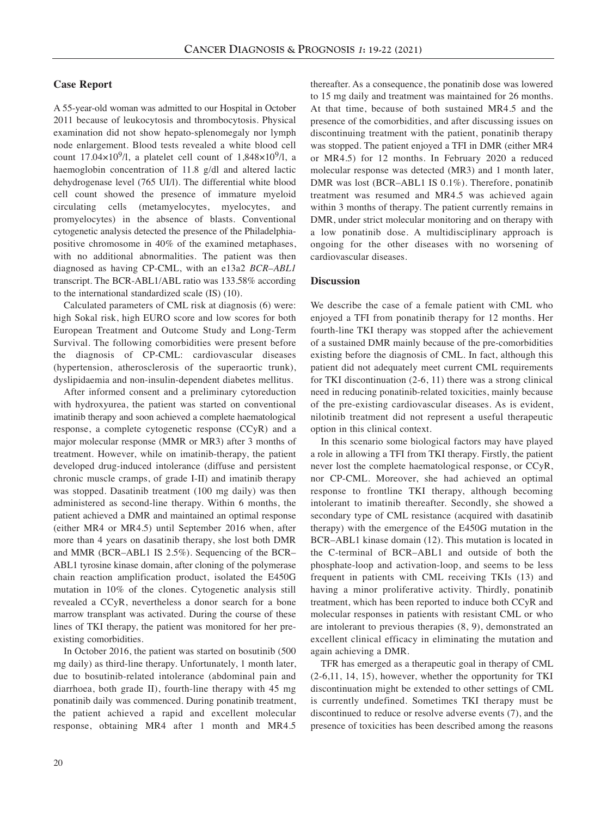## **Case Report**

A 55-year-old woman was admitted to our Hospital in October 2011 because of leukocytosis and thrombocytosis. Physical examination did not show hepato-splenomegaly nor lymph node enlargement. Blood tests revealed a white blood cell count  $17.04\times10^{9}/l$ , a platelet cell count of  $1,848\times10^{9}/l$ , a haemoglobin concentration of 11.8 g/dl and altered lactic dehydrogenase level (765 UI/l). The differential white blood cell count showed the presence of immature myeloid circulating cells (metamyelocytes, myelocytes, and promyelocytes) in the absence of blasts. Conventional cytogenetic analysis detected the presence of the Philadelphiapositive chromosome in 40% of the examined metaphases, with no additional abnormalities. The patient was then diagnosed as having CP-CML, with an e13a2 *BCR–ABL1* transcript. The BCR-ABL1/ABL ratio was 133.58% according to the international standardized scale (IS) (10).

Calculated parameters of CML risk at diagnosis (6) were: high Sokal risk, high EURO score and low scores for both European Treatment and Outcome Study and Long-Term Survival. The following comorbidities were present before the diagnosis of CP-CML: cardiovascular diseases (hypertension, atherosclerosis of the superaortic trunk), dyslipidaemia and non-insulin-dependent diabetes mellitus.

After informed consent and a preliminary cytoreduction with hydroxyurea, the patient was started on conventional imatinib therapy and soon achieved a complete haematological response, a complete cytogenetic response (CCyR) and a major molecular response (MMR or MR3) after 3 months of treatment. However, while on imatinib-therapy, the patient developed drug-induced intolerance (diffuse and persistent chronic muscle cramps, of grade I-II) and imatinib therapy was stopped. Dasatinib treatment (100 mg daily) was then administered as second-line therapy. Within 6 months, the patient achieved a DMR and maintained an optimal response (either MR4 or MR4.5) until September 2016 when, after more than 4 years on dasatinib therapy, she lost both DMR and MMR (BCR–ABL1 IS 2.5%). Sequencing of the BCR– ABL1 tyrosine kinase domain, after cloning of the polymerase chain reaction amplification product, isolated the E450G mutation in 10% of the clones. Cytogenetic analysis still revealed a CCyR, nevertheless a donor search for a bone marrow transplant was activated. During the course of these lines of TKI therapy, the patient was monitored for her preexisting comorbidities.

In October 2016, the patient was started on bosutinib (500 mg daily) as third-line therapy. Unfortunately, 1 month later, due to bosutinib-related intolerance (abdominal pain and diarrhoea, both grade II), fourth-line therapy with 45 mg ponatinib daily was commenced. During ponatinib treatment, the patient achieved a rapid and excellent molecular response, obtaining MR4 after 1 month and MR4.5

thereafter. As a consequence, the ponatinib dose was lowered to 15 mg daily and treatment was maintained for 26 months. At that time, because of both sustained MR4.5 and the presence of the comorbidities, and after discussing issues on discontinuing treatment with the patient, ponatinib therapy was stopped. The patient enjoyed a TFI in DMR (either MR4 or MR4.5) for 12 months. In February 2020 a reduced molecular response was detected (MR3) and 1 month later, DMR was lost (BCR–ABL1 IS 0.1%). Therefore, ponatinib treatment was resumed and MR4.5 was achieved again within 3 months of therapy. The patient currently remains in DMR, under strict molecular monitoring and on therapy with a low ponatinib dose. A multidisciplinary approach is ongoing for the other diseases with no worsening of cardiovascular diseases.

## **Discussion**

We describe the case of a female patient with CML who enjoyed a TFI from ponatinib therapy for 12 months. Her fourth-line TKI therapy was stopped after the achievement of a sustained DMR mainly because of the pre-comorbidities existing before the diagnosis of CML. In fact, although this patient did not adequately meet current CML requirements for TKI discontinuation (2-6, 11) there was a strong clinical need in reducing ponatinib-related toxicities, mainly because of the pre-existing cardiovascular diseases. As is evident, nilotinib treatment did not represent a useful therapeutic option in this clinical context.

In this scenario some biological factors may have played a role in allowing a TFI from TKI therapy. Firstly, the patient never lost the complete haematological response, or CCyR, nor CP-CML. Moreover, she had achieved an optimal response to frontline TKI therapy, although becoming intolerant to imatinib thereafter. Secondly, she showed a secondary type of CML resistance (acquired with dasatinib therapy) with the emergence of the E450G mutation in the BCR–ABL1 kinase domain (12). This mutation is located in the C-terminal of BCR–ABL1 and outside of both the phosphate-loop and activation-loop, and seems to be less frequent in patients with CML receiving TKIs (13) and having a minor proliferative activity. Thirdly, ponatinib treatment, which has been reported to induce both CCyR and molecular responses in patients with resistant CML or who are intolerant to previous therapies (8, 9), demonstrated an excellent clinical efficacy in eliminating the mutation and again achieving a DMR.

TFR has emerged as a therapeutic goal in therapy of CML (2-6,11, 14, 15), however, whether the opportunity for TKI discontinuation might be extended to other settings of CML is currently undefined. Sometimes TKI therapy must be discontinued to reduce or resolve adverse events (7), and the presence of toxicities has been described among the reasons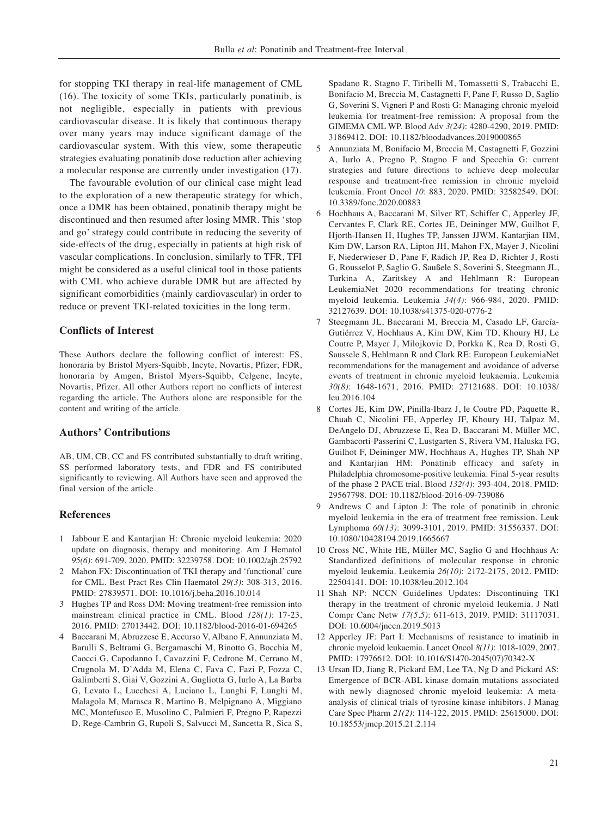for stopping TKI therapy in real-life management of CML (16). The toxicity of some TKIs, particularly ponatinib, is not negligible, especially in patients with previous cardiovascular disease. It is likely that continuous therapy over many years may induce significant damage of the cardiovascular system. With this view, some therapeutic strategies evaluating ponatinib dose reduction after achieving a molecular response are currently under investigation (17).

The favourable evolution of our clinical case might lead to the exploration of a new therapeutic strategy for which, once a DMR has been obtained, ponatinib therapy might be discontinued and then resumed after losing MMR. This 'stop and go' strategy could contribute in reducing the severity of side-effects of the drug, especially in patients at high risk of vascular complications. In conclusion, similarly to TFR, TFI might be considered as a useful clinical tool in those patients with CML who achieve durable DMR but are affected by significant comorbidities (mainly cardiovascular) in order to reduce or prevent TKI-related toxicities in the long term.

## **Conflicts of Interest**

These Authors declare the following conflict of interest: FS, honoraria by Bristol Myers-Squibb, Incyte, Novartis, Pfizer; FDR, honoraria by Amgen, Bristol Myers-Squibb, Celgene, Incyte, Novartis, Pfizer. All other Authors report no conflicts of interest regarding the article. The Authors alone are responsible for the content and writing of the article.

## **Authors' Contributions**

AB, UM, CB, CC and FS contributed substantially to draft writing, SS performed laboratory tests, and FDR and FS contributed significantly to reviewing. All Authors have seen and approved the final version of the article.

## **References**

- 1 Jabbour E and Kantarjian H: Chronic myeloid leukemia: 2020 update on diagnosis, therapy and monitoring. Am J Hematol *95(6)*: 691-709, 2020. PMID: 32239758. DOI: 10.1002/ajh.25792
- 2 Mahon FX: Discontinuation of TKI therapy and 'functional' cure for CML. Best Pract Res Clin Haematol *29(3)*: 308-313, 2016. PMID: 27839571. DOI: 10.1016/j.beha.2016.10.014
- 3 Hughes TP and Ross DM: Moving treatment-free remission into mainstream clinical practice in CML. Blood *128(1)*: 17-23, 2016. PMID: 27013442. DOI: 10.1182/blood-2016-01-694265
- 4 Baccarani M, Abruzzese E, Accurso V, Albano F, Annunziata M, Barulli S, Beltrami G, Bergamaschi M, Binotto G, Bocchia M, Caocci G, Capodanno I, Cavazzini F, Cedrone M, Cerrano M, Crugnola M, D'Adda M, Elena C, Fava C, Fazi P, Fozza C, Galimberti S, Giai V, Gozzini A, Gugliotta G, Iurlo A, La Barba G, Levato L, Lucchesi A, Luciano L, Lunghi F, Lunghi M, Malagola M, Marasca R, Martino B, Melpignano A, Miggiano MC, Montefusco E, Musolino C, Palmieri F, Pregno P, Rapezzi D, Rege-Cambrin G, Rupoli S, Salvucci M, Sancetta R, Sica S,

Spadano R, Stagno F, Tiribelli M, Tomassetti S, Trabacchi E, Bonifacio M, Breccia M, Castagnetti F, Pane F, Russo D, Saglio G, Soverini S, Vigneri P and Rosti G: Managing chronic myeloid leukemia for treatment-free remission: A proposal from the GIMEMA CML WP. Blood Adv *3(24)*: 4280-4290, 2019. PMID: 31869412. DOI: 10.1182/bloodadvances.2019000865

- 5 Annunziata M, Bonifacio M, Breccia M, Castagnetti F, Gozzini A, Iurlo A, Pregno P, Stagno F and Specchia G: current strategies and future directions to achieve deep molecular response and treatment-free remission in chronic myeloid leukemia. Front Oncol *10*: 883, 2020. PMID: 32582549. DOI: 10.3389/fonc.2020.00883
- 6 Hochhaus A, Baccarani M, Silver RT, Schiffer C, Apperley JF, Cervantes F, Clark RE, Cortes JE, Deininger MW, Guilhot F, Hjorth-Hansen H, Hughes TP, Janssen JJWM, Kantarjian HM, Kim DW, Larson RA, Lipton JH, Mahon FX, Mayer J, Nicolini F, Niederwieser D, Pane F, Radich JP, Rea D, Richter J, Rosti G, Rousselot P, Saglio G, Saußele S, Soverini S, Steegmann JL, Turkina A, Zaritskey A and Hehlmann R: European LeukemiaNet 2020 recommendations for treating chronic myeloid leukemia. Leukemia *34(4)*: 966-984, 2020. PMID: 32127639. DOI: 10.1038/s41375-020-0776-2
- 7 Steegmann JL, Baccarani M, Breccia M, Casado LF, García-Gutiérrez V, Hochhaus A, Kim DW, Kim TD, Khoury HJ, Le Coutre P, Mayer J, Milojkovic D, Porkka K, Rea D, Rosti G, Saussele S, Hehlmann R and Clark RE: European LeukemiaNet recommendations for the management and avoidance of adverse events of treatment in chronic myeloid leukaemia. Leukemia *30(8)*: 1648-1671, 2016. PMID: 27121688. DOI: 10.1038/ leu.2016.104
- 8 Cortes JE, Kim DW, Pinilla-Ibarz J, le Coutre PD, Paquette R, Chuah C, Nicolini FE, Apperley JF, Khoury HJ, Talpaz M, DeAngelo DJ, Abruzzese E, Rea D, Baccarani M, Müller MC, Gambacorti-Passerini C, Lustgarten S, Rivera VM, Haluska FG, Guilhot F, Deininger MW, Hochhaus A, Hughes TP, Shah NP and Kantarjian HM: Ponatinib efficacy and safety in Philadelphia chromosome-positive leukemia: Final 5-year results of the phase 2 PACE trial. Blood *132(4)*: 393-404, 2018. PMID: 29567798. DOI: 10.1182/blood-2016-09-739086
- 9 Andrews C and Lipton J: The role of ponatinib in chronic myeloid leukemia in the era of treatment free remission. Leuk Lymphoma *60(13)*: 3099-3101, 2019. PMID: 31556337. DOI: 10.1080/10428194.2019.1665667
- 10 Cross NC, White HE, Müller MC, Saglio G and Hochhaus A: Standardized definitions of molecular response in chronic myeloid leukemia. Leukemia *26(10)*: 2172-2175, 2012. PMID: 22504141. DOI: 10.1038/leu.2012.104
- 11 Shah NP: NCCN Guidelines Updates: Discontinuing TKI therapy in the treatment of chronic myeloid leukemia. J Natl Compr Canc Netw *17(5.5)*: 611-613, 2019. PMID: 31117031. DOI: 10.6004/jnccn.2019.5013
- 12 Apperley JF: Part I: Mechanisms of resistance to imatinib in chronic myeloid leukaemia. Lancet Oncol *8(11)*: 1018-1029, 2007. PMID: 17976612. DOI: 10.1016/S1470-2045(07)70342-X
- 13 Ursan ID, Jiang R, Pickard EM, Lee TA, Ng D and Pickard AS: Emergence of BCR-ABL kinase domain mutations associated with newly diagnosed chronic myeloid leukemia: A metaanalysis of clinical trials of tyrosine kinase inhibitors. J Manag Care Spec Pharm *21(2)*: 114-122, 2015. PMID: 25615000. DOI: 10.18553/jmcp.2015.21.2.114